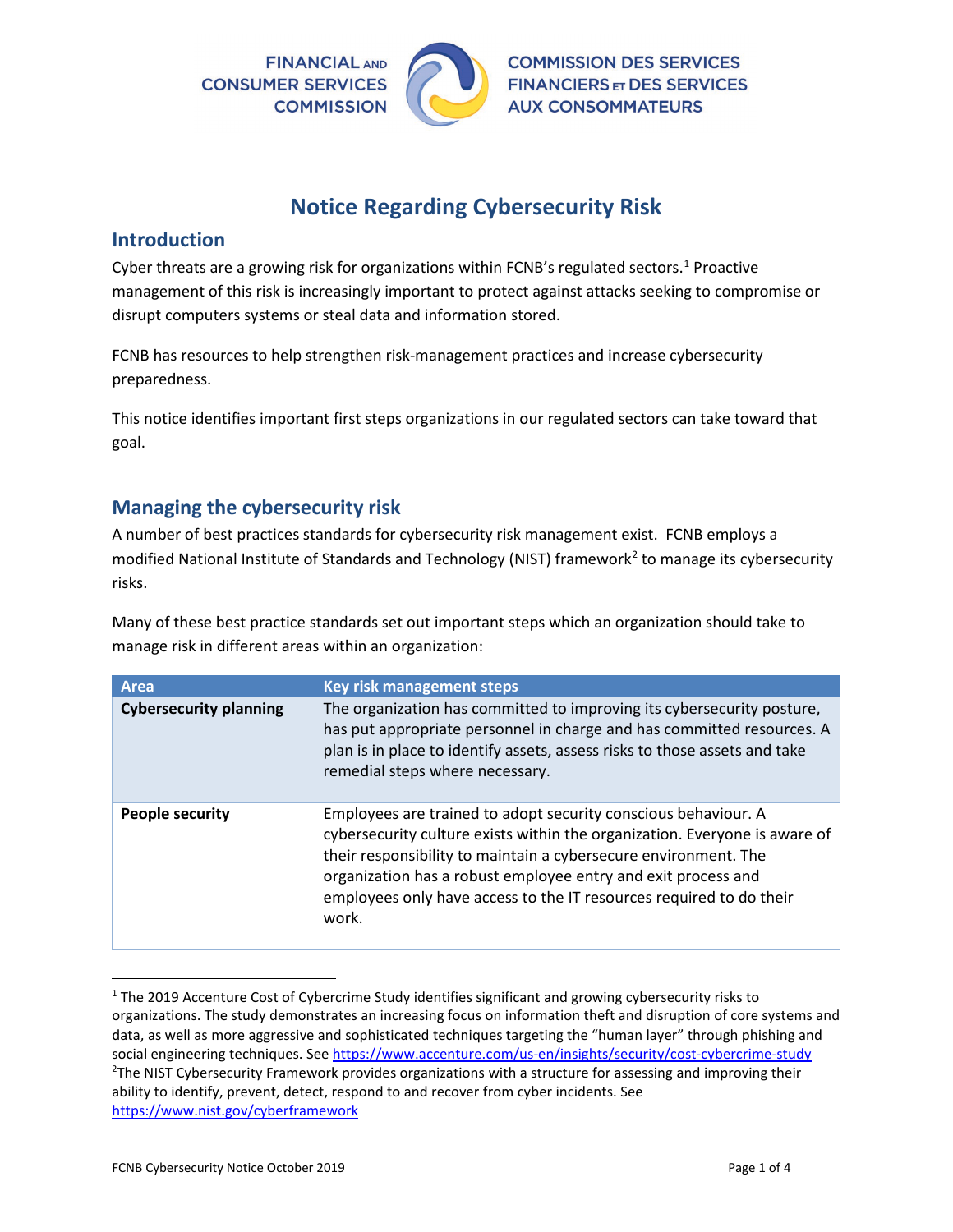

# **Notice Regarding Cybersecurity Risk**

#### **Introduction**

Cyber threats are a growing risk for organizations within FCNB's regulated sectors.<sup>[1](#page-0-0)</sup> Proactive management of this risk is increasingly important to protect against attacks seeking to compromise or disrupt computers systems or steal data and information stored.

FCNB has resources to help strengthen risk-management practices and increase cybersecurity preparedness.

This notice identifies important first steps organizations in our regulated sectors can take toward that goal.

### **Managing the cybersecurity risk**

A number of best practices standards for cybersecurity risk management exist. FCNB employs a modified National Institute of Standards and Technology (NIST) framework<sup>[2](#page-0-1)</sup> to manage its cybersecurity risks.

Many of these best practice standards set out important steps which an organization should take to manage risk in different areas within an organization:

| <b>Area</b>                   | <b>Key risk management steps</b>                                                                                                                                                                                                                                                                                                                                 |
|-------------------------------|------------------------------------------------------------------------------------------------------------------------------------------------------------------------------------------------------------------------------------------------------------------------------------------------------------------------------------------------------------------|
| <b>Cybersecurity planning</b> | The organization has committed to improving its cybersecurity posture,<br>has put appropriate personnel in charge and has committed resources. A<br>plan is in place to identify assets, assess risks to those assets and take<br>remedial steps where necessary.                                                                                                |
| People security               | Employees are trained to adopt security conscious behaviour. A<br>cybersecurity culture exists within the organization. Everyone is aware of<br>their responsibility to maintain a cybersecure environment. The<br>organization has a robust employee entry and exit process and<br>employees only have access to the IT resources required to do their<br>work. |

<span id="page-0-1"></span><span id="page-0-0"></span> $1$  The 2019 Accenture Cost of Cybercrime Study identifies significant and growing cybersecurity risks to organizations. The study demonstrates an increasing focus on information theft and disruption of core systems and data, as well as more aggressive and sophisticated techniques targeting the "human layer" through phishing and social engineering techniques. See<https://www.accenture.com/us-en/insights/security/cost-cybercrime-study>2 <sup>2</sup>The NIST Cybersecurity Framework provides organizations with a structure for assessing and improving their ability to identify, prevent, detect, respond to and recover from cyber incidents. See <https://www.nist.gov/cyberframework>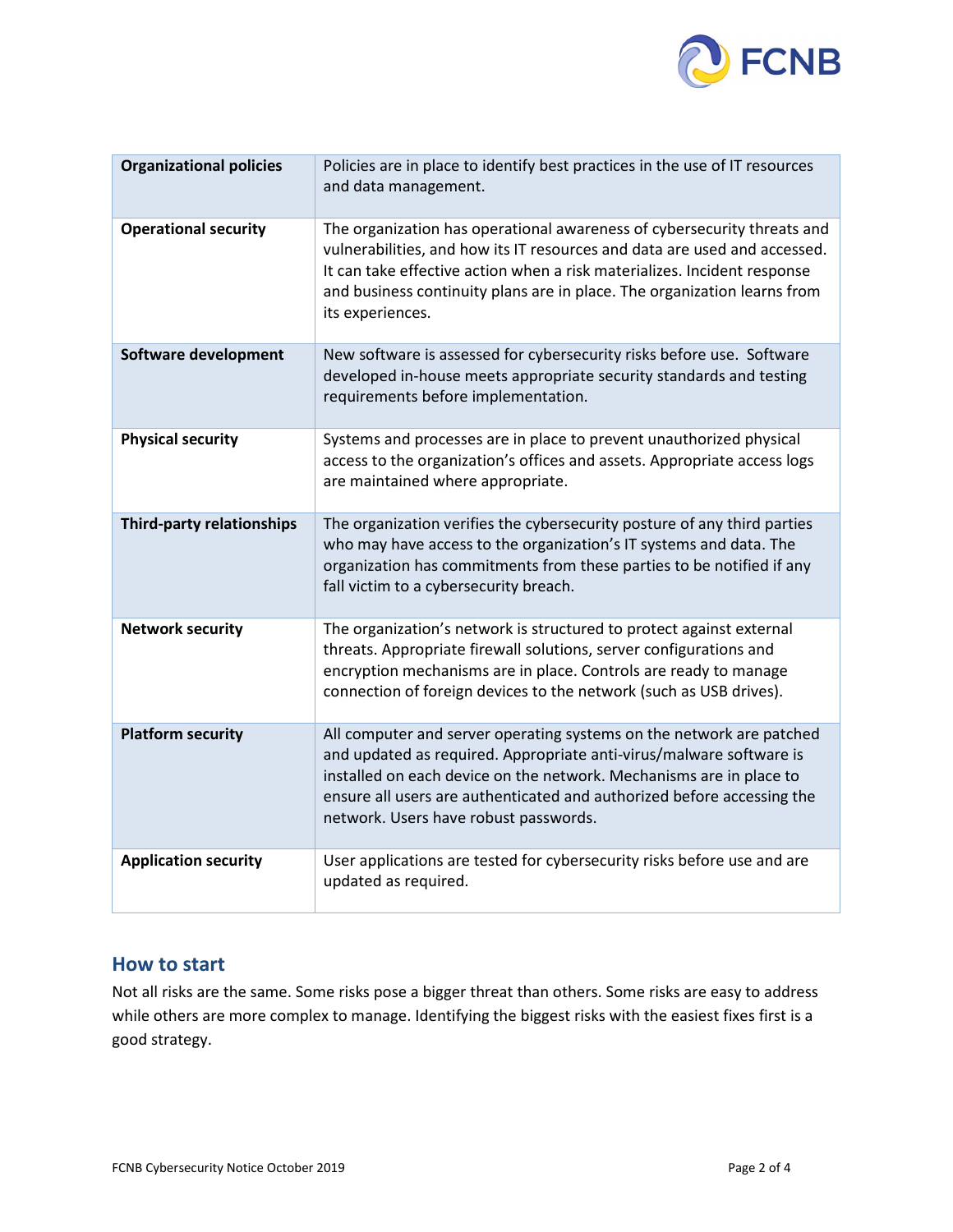

| <b>Organizational policies</b> | Policies are in place to identify best practices in the use of IT resources<br>and data management.                                                                                                                                                                                                                                   |
|--------------------------------|---------------------------------------------------------------------------------------------------------------------------------------------------------------------------------------------------------------------------------------------------------------------------------------------------------------------------------------|
| <b>Operational security</b>    | The organization has operational awareness of cybersecurity threats and<br>vulnerabilities, and how its IT resources and data are used and accessed.<br>It can take effective action when a risk materializes. Incident response<br>and business continuity plans are in place. The organization learns from<br>its experiences.      |
| Software development           | New software is assessed for cybersecurity risks before use. Software<br>developed in-house meets appropriate security standards and testing<br>requirements before implementation.                                                                                                                                                   |
| <b>Physical security</b>       | Systems and processes are in place to prevent unauthorized physical<br>access to the organization's offices and assets. Appropriate access logs<br>are maintained where appropriate.                                                                                                                                                  |
| Third-party relationships      | The organization verifies the cybersecurity posture of any third parties<br>who may have access to the organization's IT systems and data. The<br>organization has commitments from these parties to be notified if any<br>fall victim to a cybersecurity breach.                                                                     |
| <b>Network security</b>        | The organization's network is structured to protect against external<br>threats. Appropriate firewall solutions, server configurations and<br>encryption mechanisms are in place. Controls are ready to manage<br>connection of foreign devices to the network (such as USB drives).                                                  |
| <b>Platform security</b>       | All computer and server operating systems on the network are patched<br>and updated as required. Appropriate anti-virus/malware software is<br>installed on each device on the network. Mechanisms are in place to<br>ensure all users are authenticated and authorized before accessing the<br>network. Users have robust passwords. |
| <b>Application security</b>    | User applications are tested for cybersecurity risks before use and are<br>updated as required.                                                                                                                                                                                                                                       |

#### **How to start**

Not all risks are the same. Some risks pose a bigger threat than others. Some risks are easy to address while others are more complex to manage. Identifying the biggest risks with the easiest fixes first is a good strategy.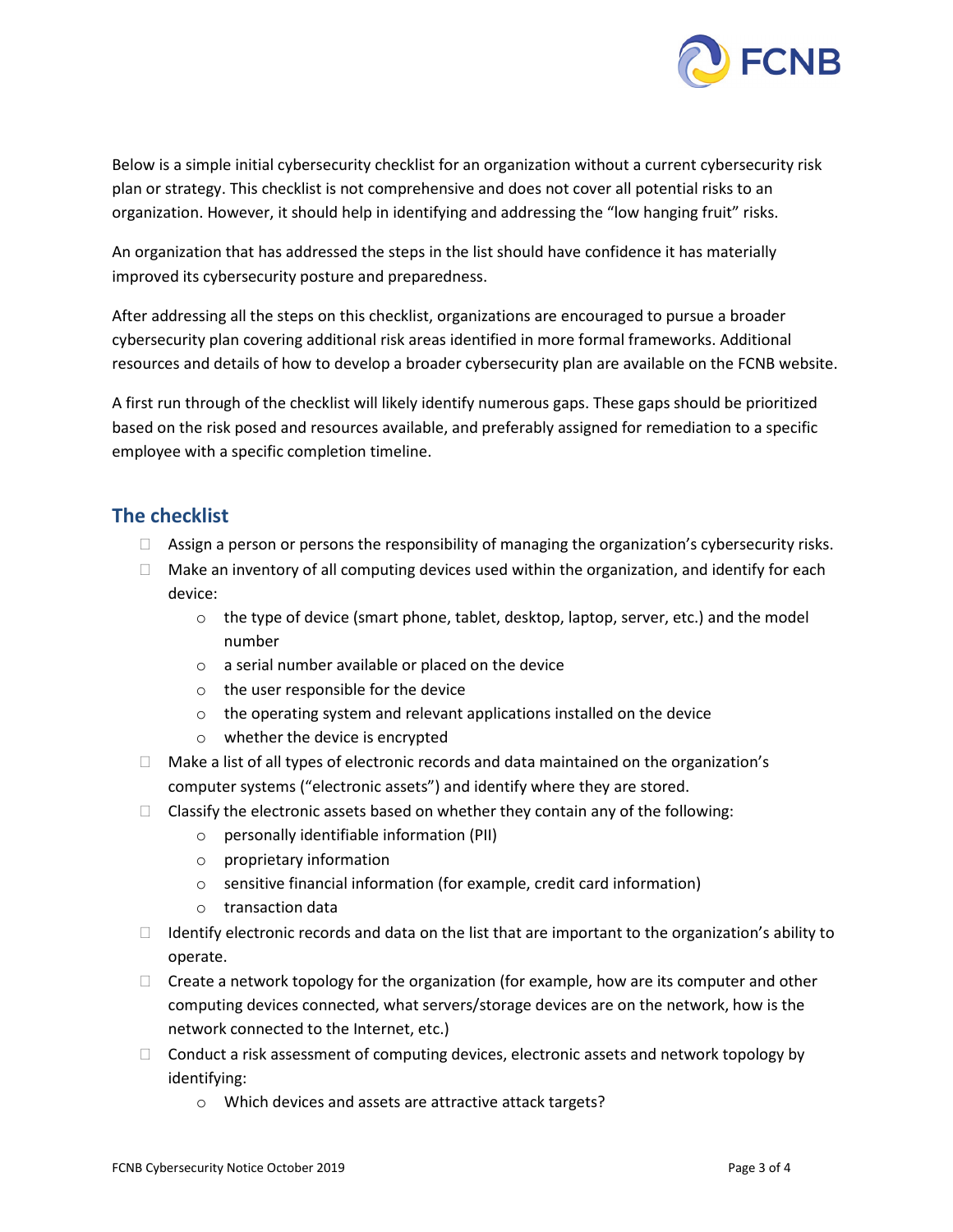

Below is a simple initial cybersecurity checklist for an organization without a current cybersecurity risk plan or strategy. This checklist is not comprehensive and does not cover all potential risks to an organization. However, it should help in identifying and addressing the "low hanging fruit" risks.

An organization that has addressed the steps in the list should have confidence it has materially improved its cybersecurity posture and preparedness.

After addressing all the steps on this checklist, organizations are encouraged to pursue a broader cybersecurity plan covering additional risk areas identified in more formal frameworks. Additional resources and details of how to develop a broader cybersecurity plan are available on the FCNB website.

A first run through of the checklist will likely identify numerous gaps. These gaps should be prioritized based on the risk posed and resources available, and preferably assigned for remediation to a specific employee with a specific completion timeline.

## **The checklist**

- $\Box$  Assign a person or persons the responsibility of managing the organization's cybersecurity risks.
- $\Box$  Make an inventory of all computing devices used within the organization, and identify for each device:
	- $\circ$  the type of device (smart phone, tablet, desktop, laptop, server, etc.) and the model number
	- o a serial number available or placed on the device
	- o the user responsible for the device
	- o the operating system and relevant applications installed on the device
	- o whether the device is encrypted
- $\Box$  Make a list of all types of electronic records and data maintained on the organization's computer systems ("electronic assets") and identify where they are stored.
- $\Box$  Classify the electronic assets based on whether they contain any of the following:
	- o personally identifiable information (PII)
	- o proprietary information
	- o sensitive financial information (for example, credit card information)
	- o transaction data
- $\Box$  Identify electronic records and data on the list that are important to the organization's ability to operate.
- $\Box$  Create a network topology for the organization (for example, how are its computer and other computing devices connected, what servers/storage devices are on the network, how is the network connected to the Internet, etc.)
- $\Box$  Conduct a risk assessment of computing devices, electronic assets and network topology by identifying:
	- o Which devices and assets are attractive attack targets?